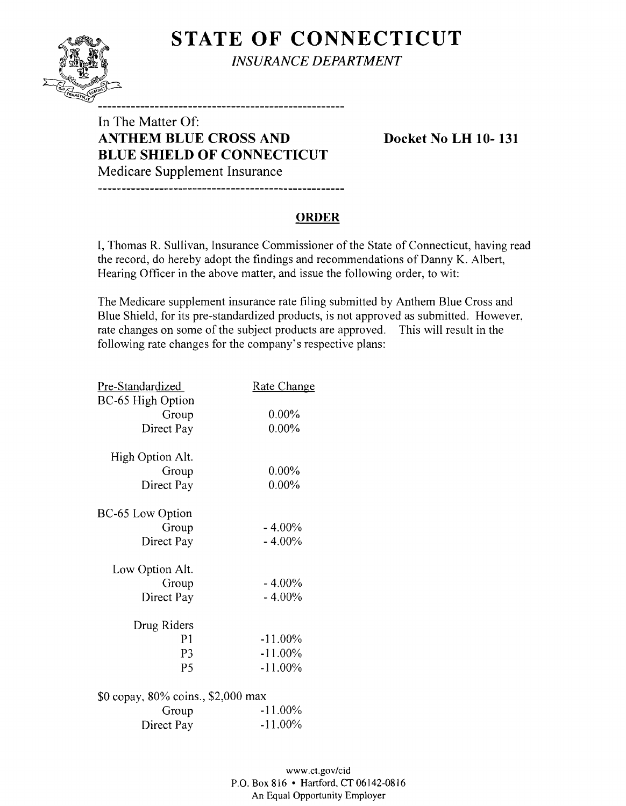**STATE OF CONNECTICUT** *INSURANCE DEPARTMENT* 

---------------------------------

In The Matter Of: **ANTHEM BLUE CROSS AND Docket No LH 10-131 BLUE SHIELD OF CONNECTICUT**  Medicare Supplement Insurance

**ORDER** 

I, Thomas R. Sullivan, Insurance Commissioner of the State of Connecticut, having read the record, do hereby adopt the findings and recommendations of Danny K. Albert, Hearing Officer in the above matter, and issue the following order, to wit:

The Medicare supplement insurance rate filing submitted by Anthem Blue Cross and Blue Shield, for its pre-standardized products, is not approved as submitted. However, rate changes on some of the subject products are approved. This will result in the following rate changes for the company's respective plans:

| Pre-Standardized                   | <u>Rate Change</u> |
|------------------------------------|--------------------|
| BC-65 High Option                  |                    |
| Group                              | $0.00\%$           |
| Direct Pay                         | $0.00\%$           |
| High Option Alt.                   |                    |
| Group                              | $0.00\%$           |
| Direct Pay                         | $0.00\%$           |
| <b>BC-65 Low Option</b>            |                    |
| Group                              | $-4.00\%$          |
| Direct Pay                         | $-4.00\%$          |
| Low Option Alt.                    |                    |
| Group                              | $-4.00\%$          |
| Direct Pay                         | $-4.00\%$          |
| Drug Riders                        |                    |
| P <sub>1</sub>                     | $-11.00\%$         |
| P3                                 | $-11.00\%$         |
| P <sub>5</sub>                     | $-11.00\%$         |
| \$0 copay, 80% coins., \$2,000 max |                    |
| Group                              | $-11.00%$          |
| Direct Pay                         | -11.00%            |
|                                    |                    |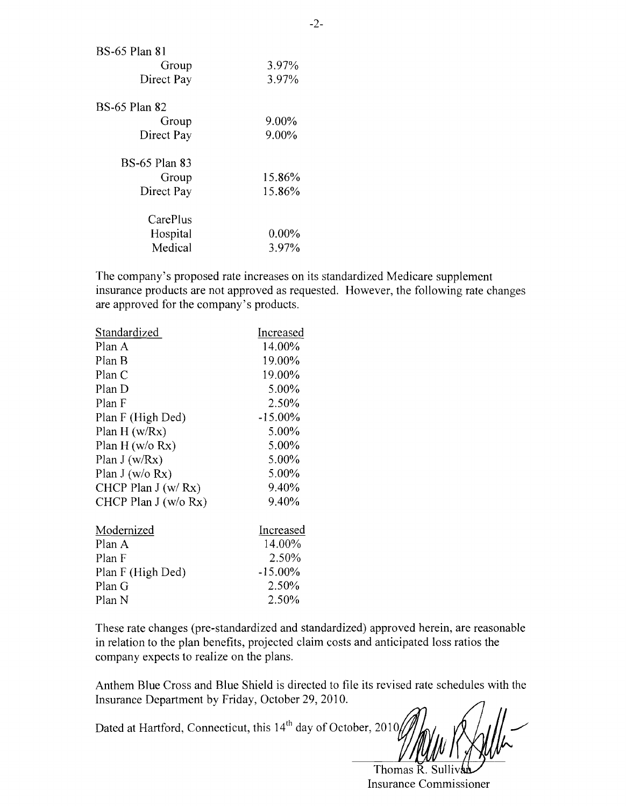| BS-65 Plan 81        |          |
|----------------------|----------|
| Group                | 3.97%    |
| Direct Pay           | 3.97%    |
| BS-65 Plan 82        |          |
| Group                | 9.00%    |
| Direct Pay           | 9.00%    |
| <b>BS-65 Plan 83</b> |          |
| Group                | 15.86%   |
| Direct Pay           | 15.86%   |
| CarePlus             |          |
| Hospital             | $0.00\%$ |
| Medical              | $3.97\%$ |

The company's proposed rate increases on its standardized Medicare supplement insurance products are not approved as requested. However, the following rate changes are approved for the company's products.

| Standardized          | Increased  |
|-----------------------|------------|
| Plan A                | 14.00%     |
| Plan B                | 19.00%     |
| Plan C                | 19.00%     |
| Plan D                | 5.00%      |
| Plan F                | 2.50%      |
| Plan F (High Ded)     | $-15.00\%$ |
| Plan $H(w/Rx)$        | 5.00%      |
| Plan $H$ (w/o Rx)     | 5.00%      |
| Plan $J(w/Rx)$        | 5.00%      |
| Plan J (w/o $Rx$ )    | 5.00%      |
| CHCP Plan $J(w/Rx)$   | 9.40%      |
| CHCP Plan $J(w/o Rx)$ | 9.40%      |
| Modernized            | Increased  |
| Plan A                | 14.00%     |
| Plan F                | 2.50%      |
| Plan F (High Ded)     | $-15.00\%$ |
| Plan G                | 2.50%      |
| Plan N                | 2.50%      |
|                       |            |

These rate changes (pre-standardized and standardized) approved herein, are reasonable in relation to the plan benefits, projected claim costs and anticipated loss ratios the company expects to realize on the plans.

Anthem Blue Cross and Blue Shield is directed to file its revised rate schedules with the Insurance Department by Friday, October 29,2010.

Dated at Hartford, Connecticut, this 14<sup>th</sup> day of October, 2010

Thomas R. Sulli Insurance Commissioner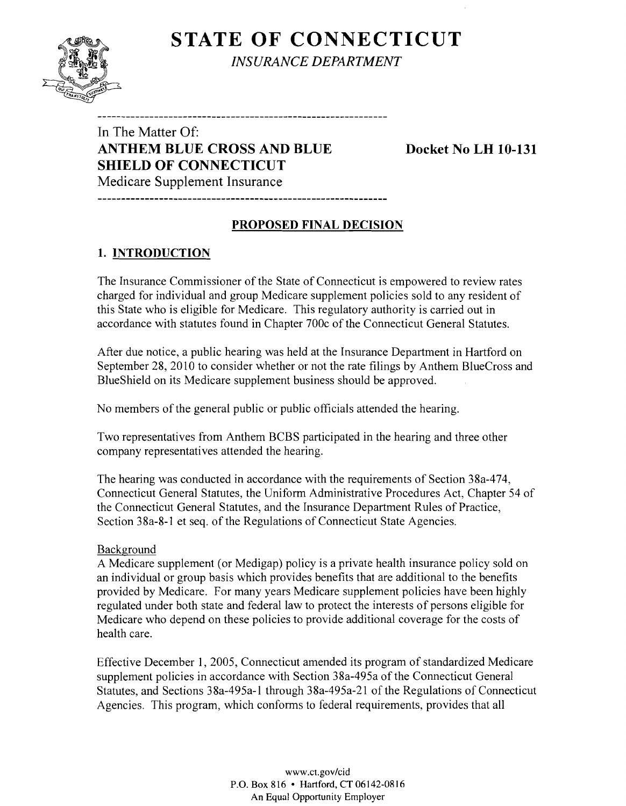# **STATE OF CONNECTICUT**



*INSURANCE DEPARTMENT* 

In The Matter Of: **ANTHEM BLUE CROSS AND BLUE Docket No LH 10-131 SHIELD OF CONNECTICUT** 

Medicare Supplement Insurance

#### **PROPOSED FINAL DECISION**

--------------------------------

### **1. INTRODUCTION**

The Insurance Commissioner of the State of Connecticut is empowered to review rates charged for individual and group Medicare supplement policies sold to any resident of this State who is eligible for Medicare. This regulatory authority is carried out in accordance with statutes found in Chapter 700c of the Connecticut General Statutes.

After due notice, a public hearing was held at the Insurance Department in Hartford on September 28, 2010 to consider whether or not the rate filings by Anthem BlueCross and BlueShield on its Medicare supplement business should be approved.

No members of the general public or public officials attended the hearing.

Two representatives from Anthem BCBS participated in the hearing and three other company representatives attended the hearing.

The hearing was conducted in accordance with the requirements of Section 38a-474, Connecticut General Statutes, the Uniform Administrative Procedures Act, Chapter 54 of the Connecticut General Statutes, and the Insurance Department Rules of Practice, Section 38a-8-1 et seq. of the Regulations of Connecticut State Agencies.

#### Background

A Medicare supplement (or Medigap) policy is a private health insurance policy sold on an individual or group basis which provides benefits that are additional to the benefits provided by Medicare. For many years Medicare supplement policies have been highly regulated under both state and federal law to protect the interests of persons eligible for Medicare who depend on these policies to provide additional coverage for the costs of health care.

Effective December 1, 2005, Connecticut amended its program of standardized Medicare supplement policies in accordance with Section 38a-495a of the Connecticut General Statutes, and Sections 38a-495a-1 through 38a-495a-21 of the Regulations of Connecticut Agencies. This program, which conforms to federal requirements, provides that all

> www.ct.gov/cid P.O. Box 816 • Hartford, CT 06142-0816 An Equal Opportunity Employer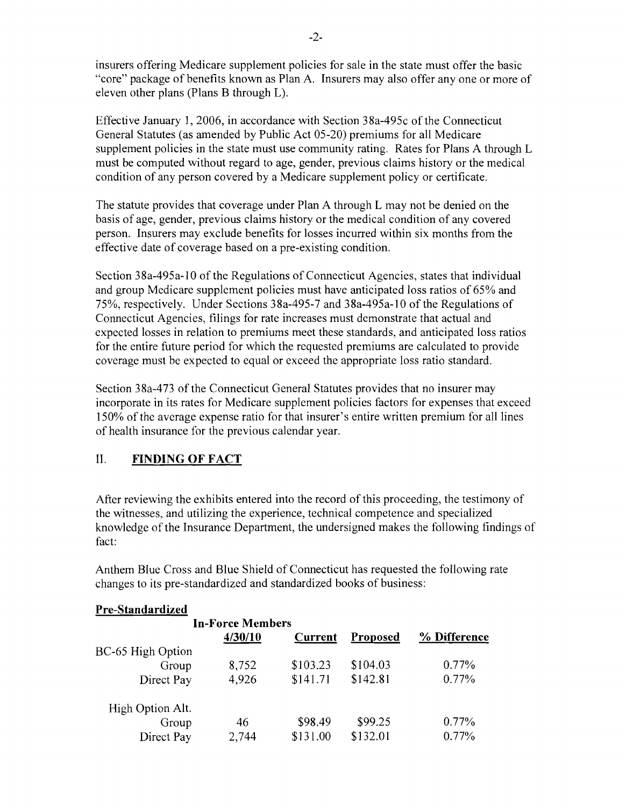insurers offering Medicare supplement policies for sale in the state must offer the basic "core" package of benefits known as Plan A. Insurers may also offer anyone or more of eleven other plans (Plans B through L).

Effective January 1,2006, in accordance with Section 38a-495c of the Connecticut General Statutes (as amended by Public Act 05-20) premiums for all Medicare supplement policies in the state must use community rating. Rates for Plans A through L must be computed without regard to age, gender, previous claims history or the medical condition of any person covered by a Medicare supplement policy or certificate.

The statute provides that coverage under Plan A through L may not be denied on the basis of age, gender, previous claims history or the medical condition of any covered person. Insurers may exclude benefits for losses incurred within six months from the effective date of coverage based on a pre-existing condition.

Section 38a-495a-IO of the Regulations of Connecticut Agencies, states that individual and group Medicare supplement policies must have anticipated loss ratios of 65% and 75%, respectively. Under Sections 38a-495-7 and 38a-495a-1 0 of the Regulations of Connecticut Agencies, filings for rate increases must demonstrate that actual and expected losses in relation to premiums meet these standards, and anticipated loss ratios for the entire future period for which the requested premiums are calculated to provide coverage must be expected to equal or exceed the appropriate loss ratio standard.

Section 38a-473 of the Connecticut General Statutes provides that no insurer may incorporate in its rates for Medicare supplement policies factors for expenses that exceed 150% of the average expense ratio for that insurer's entire written premium for all lines of health insurance for the previous calendar year.

#### II. **FINDING OF FACT**

After reviewing the exhibits entered into the record of this proceeding, the testimony of the witnesses, and utilizing the experience, technical competence and specialized knowledge of the Insurance Department, the undersigned makes the following findings of fact:

Anthem Blue Cross and Blue Shield of Connecticut has requested the following rate changes to its pre-standardized and standardized books of business:

#### **Pre-Standardized**

|                   | <b>In-Force Members</b> |                |          |              |
|-------------------|-------------------------|----------------|----------|--------------|
|                   | 4/30/10                 | <b>Current</b> | Proposed | % Difference |
| BC-65 High Option |                         |                |          |              |
| Group             | 8,752                   | \$103.23       | \$104.03 | $0.77\%$     |
| Direct Pay        | 4,926                   | \$141.71       | \$142.81 | 0.77%        |
| High Option Alt.  |                         |                |          |              |
| Group             | 46                      | \$98.49        | \$99.25  | $0.77\%$     |
| Direct Pay        | 2,744                   | \$131.00       | \$132.01 | $0.77\%$     |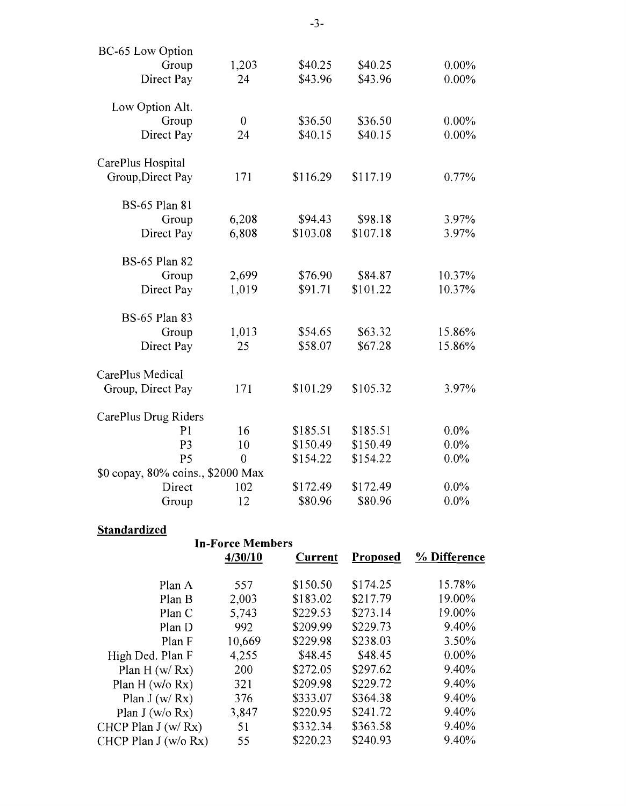| 1,203<br>24<br>$\overline{0}$<br>24 | \$40.25<br>\$43.96<br>\$36.50                                      | \$40.25<br>\$43.96<br>\$36.50 | $0.00\%$<br>$0.00\%$ |
|-------------------------------------|--------------------------------------------------------------------|-------------------------------|----------------------|
|                                     |                                                                    |                               |                      |
|                                     |                                                                    |                               |                      |
|                                     |                                                                    |                               |                      |
|                                     |                                                                    |                               | $0.00\%$             |
|                                     |                                                                    | \$40.15                       | $0.00\%$             |
|                                     |                                                                    |                               |                      |
| 171                                 | \$116.29                                                           | \$117.19                      | 0.77%                |
|                                     |                                                                    |                               |                      |
| 6,208                               | \$94.43                                                            | \$98.18                       | 3.97%                |
| 6,808                               | \$103.08                                                           | \$107.18                      | 3.97%                |
|                                     |                                                                    |                               |                      |
| 2,699                               | \$76.90                                                            | \$84.87                       | 10.37%               |
| 1,019                               | \$91.71                                                            | \$101.22                      | 10.37%               |
|                                     |                                                                    |                               |                      |
|                                     | \$54.65                                                            | \$63.32                       | 15.86%               |
| 25                                  | \$58.07                                                            | \$67.28                       | 15.86%               |
|                                     |                                                                    |                               |                      |
| 171                                 | \$101.29                                                           | \$105.32                      | 3.97%                |
|                                     |                                                                    |                               |                      |
| 16                                  | \$185.51                                                           | \$185.51                      | $0.0\%$              |
| 10                                  | \$150.49                                                           | \$150.49                      | $0.0\%$              |
| $\overline{0}$                      | \$154.22                                                           | \$154.22                      | $0.0\%$              |
|                                     |                                                                    |                               |                      |
| 102                                 | \$172.49                                                           | \$172.49                      | $0.0\%$              |
| 12                                  | \$80.96                                                            | \$80.96                       | $0.0\%$              |
|                                     | 1,013<br>CarePlus Drug Riders<br>\$0 copay, 80% coins., \$2000 Max | \$40.15                       |                      |

## **Standardized**

# **In-Force Members**

|                       | 4/30/10 | <b>Current</b> | Proposed | % Difference |
|-----------------------|---------|----------------|----------|--------------|
| Plan A                | 557     | \$150.50       | \$174.25 | 15.78%       |
| Plan B                | 2,003   | \$183.02       | \$217.79 | 19.00%       |
| Plan C                | 5,743   | \$229.53       | \$273.14 | 19.00%       |
| Plan D                | 992     | \$209.99       | \$229.73 | 9.40%        |
| Plan F                | 10,669  | \$229.98       | \$238.03 | 3.50%        |
| High Ded. Plan F      | 4,255   | \$48.45        | \$48.45  | $0.00\%$     |
| Plan H $(w/Rx)$       | 200     | \$272.05       | \$297.62 | 9.40%        |
| Plan H ( $w/o$ Rx)    | 321     | \$209.98       | \$229.72 | 9.40%        |
| Plan $J(w/Rx)$        | 376     | \$333.07       | \$364.38 | 9.40%        |
| Plan $J(w/o Rx)$      | 3,847   | \$220.95       | \$241.72 | 9.40%        |
| CHCP Plan $J(w/Rx)$   | 51      | \$332.34       | \$363.58 | 9.40%        |
| CHCP Plan $J(w/o Rx)$ | 55      | \$220.23       | \$240.93 | 9.40%        |
|                       |         |                |          |              |

 $-3-$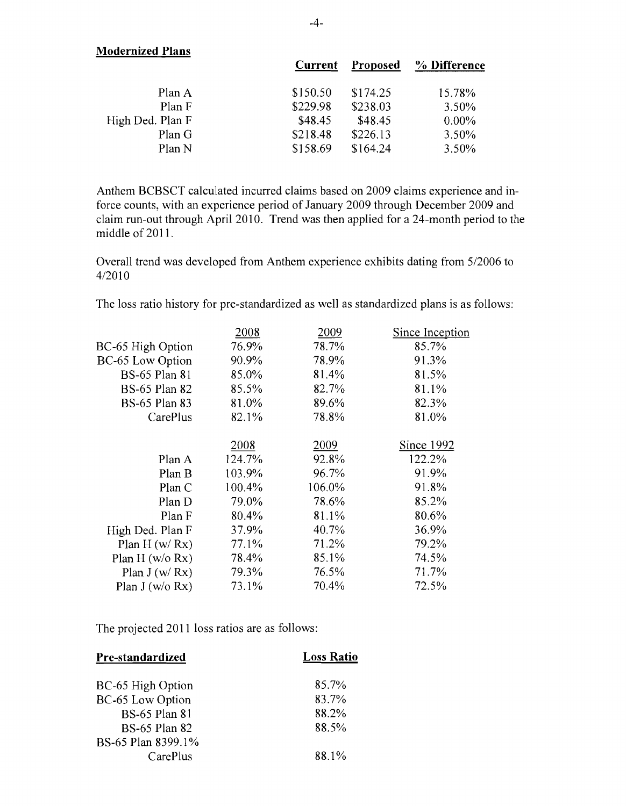| <b>Modernized Plans</b> |                |          |              |
|-------------------------|----------------|----------|--------------|
|                         | <b>Current</b> | Proposed | % Difference |
| Plan A                  | \$150.50       | \$174.25 | 15.78%       |
| Plan F                  | \$229.98       | \$238.03 | 3.50%        |
| High Ded. Plan F        | \$48.45        | \$48.45  | $0.00\%$     |
| Plan G                  | \$218.48       | \$226.13 | $3.50\%$     |
| Plan N                  | \$158.69       | \$164.24 | 3.50%        |

Anthem BCBSCT calculated incurred claims based on 2009 claims experience and inforce counts, with an experience period of January 2009 through December 2009 and claim run-out through April 2010. Trend was then applied for a 24-month period to the middle of 2011.

Overall trend was developed from Anthem experience exhibits dating from *5/2006* to *4/2010* 

The loss ratio history for pre-standardized as well as standardized plans is as follows:

|                      | 2008   | 2009   | Since Inception |
|----------------------|--------|--------|-----------------|
| BC-65 High Option    | 76.9%  | 78.7%  | 85.7%           |
| BC-65 Low Option     | 90.9%  | 78.9%  | 91.3%           |
| <b>BS-65 Plan 81</b> | 85.0%  | 81.4%  | 81.5%           |
| <b>BS-65 Plan 82</b> | 85.5%  | 82.7%  | 81.1%           |
| <b>BS-65 Plan 83</b> | 81.0%  | 89.6%  | 82.3%           |
| CarePlus             | 82.1%  | 78.8%  | 81.0%           |
|                      |        |        |                 |
|                      | 2008   | 2009   | Since 1992      |
| Plan A               | 124.7% | 92.8%  | 122.2%          |
| Plan B               | 103.9% | 96.7%  | 91.9%           |
| Plan C               | 100.4% | 106.0% | 91.8%           |
| Plan D               | 79.0%  | 78.6%  | 85.2%           |
| Plan F               | 80.4%  | 81.1%  | 80.6%           |
| High Ded. Plan F     | 37.9%  | 40.7%  | 36.9%           |
| Plan $H(w/Rx)$       | 77.1%  | 71.2%  | 79.2%           |
| Plan H ( $w/o$ Rx)   | 78.4%  | 85.1%  | 74.5%           |
| Plan $J(w/Rx)$       | 79.3%  | 76.5%  | 71.7%           |
| Plan $J(w/o Rx)$     | 73.1%  | 70.4%  | 72.5%           |

The projected 2011 loss ratios are as follows:

| Pre-standardized     | <b>Loss Ratio</b> |
|----------------------|-------------------|
| BC-65 High Option    | 85.7%             |
| BC-65 Low Option     | 83.7%             |
| <b>BS-65 Plan 81</b> | 88.2%             |
| <b>BS-65 Plan 82</b> | 88.5%             |
| BS-65 Plan 8399.1%   |                   |
| CarePlus             | 88.1%             |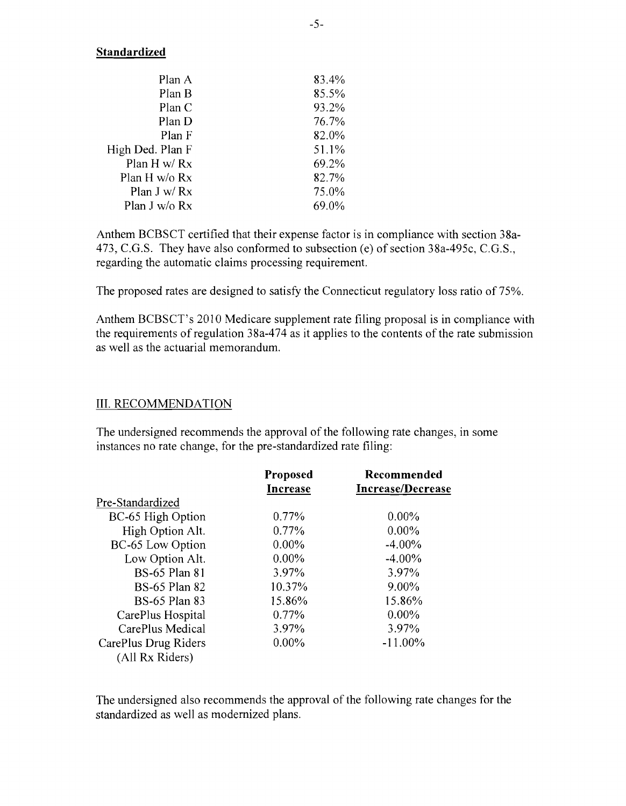#### **Standardized**

| Plan A           | 83.4% |
|------------------|-------|
| Plan B           | 85.5% |
| Plan C           | 93.2% |
| Plan D           | 76.7% |
| Plan F           | 82.0% |
| High Ded. Plan F | 51.1% |
| Plan $H w/Rx$    | 69.2% |
| Plan H w/o Rx    | 82.7% |
| Plan J w/ Rx     | 75.0% |
| Plan J w/o Rx    | 69.0% |

Anthem BCBSCT certified that their expense factor is in compliance with section 38a-473, e.G.S. They have also conformed to subsection (e) of section 38a-495c, C.G.S., regarding the automatic claims processing requirement.

The proposed rates are designed to satisfy the Connecticut regulatory loss ratio of 75%.

Anthem BCBSCT's 2010 Medicare supplement rate filing proposal is in compliance with the requirements ofregulation 38a-474 as it applies to the contents of the rate submission as well as the actuarial memorandum.

#### **III. RECOMMENDATION**

The undersigned recommends the approval of the following rate changes, in some instances no rate change, for the pre-standardized rate filing:

|                      | <b>Proposed</b><br><b>Increase</b> | Recommended<br><b>Increase/Decrease</b> |
|----------------------|------------------------------------|-----------------------------------------|
| Pre-Standardized     |                                    |                                         |
| BC-65 High Option    | $0.77\%$                           | $0.00\%$                                |
| High Option Alt.     | $0.77\%$                           | $0.00\%$                                |
| BC-65 Low Option     | $0.00\%$                           | $-4.00\%$                               |
| Low Option Alt.      | $0.00\%$                           | $-4.00\%$                               |
| <b>BS-65 Plan 81</b> | 3.97%                              | 3.97%                                   |
| <b>BS-65 Plan 82</b> | 10.37%                             | 9.00%                                   |
| <b>BS-65 Plan 83</b> | 15.86%                             | 15.86%                                  |
| CarePlus Hospital    | $0.77\%$                           | $0.00\%$                                |
| CarePlus Medical     | 3.97%                              | 3.97%                                   |
| CarePlus Drug Riders | $0.00\%$                           | $-11.00\%$                              |
| (All Rx Riders)      |                                    |                                         |

The undersigned also recommends the approval of the following rate changes for the standardized as well as modernized plans.